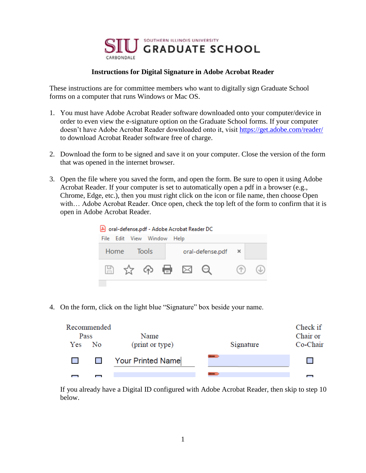

## **Instructions for Digital Signature in Adobe Acrobat Reader**

These instructions are for committee members who want to digitally sign Graduate School forms on a computer that runs Windows or Mac OS.

- 1. You must have Adobe Acrobat Reader software downloaded onto your computer/device in order to even view the e-signature option on the Graduate School forms. If your computer doesn't have Adobe Acrobat Reader downloaded onto it, visit<https://get.adobe.com/reader/> to download Acrobat Reader software free of charge.
- 2. Download the form to be signed and save it on your computer. Close the version of the form that was opened in the internet browser.
- 3. Open the file where you saved the form, and open the form. Be sure to open it using Adobe Acrobat Reader. If your computer is set to automatically open a pdf in a browser (e.g., Chrome, Edge, etc.), then you must right click on the icon or file name, then choose Open with… Adobe Acrobat Reader. Once open, check the top left of the form to confirm that it is open in Adobe Acrobat Reader.



4. On the form, click on the light blue "Signature" box beside your name.

| Pass | Recommended | Name              |           | Check if<br>Chair or |
|------|-------------|-------------------|-----------|----------------------|
| Yes  | No.         | (print or type)   | Signature | Co-Chair             |
|      |             | Your Printed Name |           |                      |
|      |             |                   |           |                      |

If you already have a Digital ID configured with Adobe Acrobat Reader, then skip to step 10 below.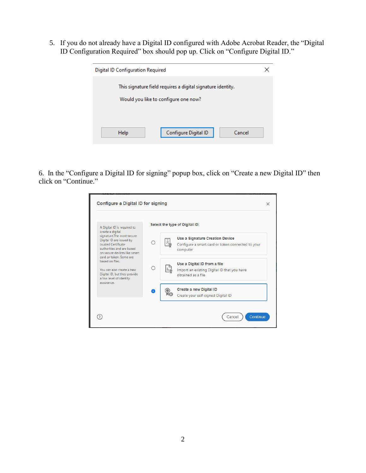5. If you do not already have a Digital ID configured with Adobe Acrobat Reader, the "Digital ID Configuration Required" box should pop up. Click on "Configure Digital ID."

| Digital ID Configuration Required                           |                                      |        |  |  |  |
|-------------------------------------------------------------|--------------------------------------|--------|--|--|--|
| This signature field requires a digital signature identity. |                                      |        |  |  |  |
|                                                             | Would you like to configure one now? |        |  |  |  |
|                                                             |                                      |        |  |  |  |
|                                                             |                                      |        |  |  |  |
| Help                                                        | Configure Digital ID                 | Cancel |  |  |  |

6. In the "Configure a Digital ID for signing" popup box, click on "Create a new Digital ID" then click on "Continue."

| A Digital ID is required to                                                                                                                                      |   | Select the type of Digital ID:                                                                    |
|------------------------------------------------------------------------------------------------------------------------------------------------------------------|---|---------------------------------------------------------------------------------------------------|
| create a digital<br>signature. The most secure<br>Digital ID are issued by<br>trusted Certificate<br>authorities and are based.<br>on secure devices like smart. |   | Use a Signature Creation Device<br>Configure a smart card or token connected to your<br>computer  |
| card or token. Some are<br>based on files.<br>You can also create a new<br>Digital ID, but they provide<br>a low level of identity                               | ∩ | Use a Digital ID from a file<br>Import an existing Digital ID that you have<br>obtained as a file |
| assurance.                                                                                                                                                       | Q | Create a new Digital ID<br>Create your self-signed Digital ID                                     |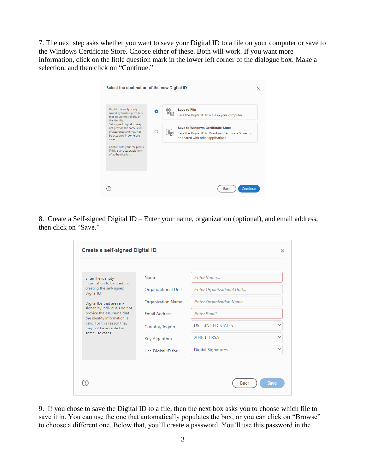7. The next step asks whether you want to save your Digital ID to a file on your computer or save to the Windows Certificate Store. Choose either of these. Both will work. If you want more information, click on the little question mark in the lower left corner of the dialogue box. Make a selection, and then click on "Continue."

| Select the destination of the new Digital ID                                                                                                                                                                                                                                                                                 |   |                                                                                                                                                                                                        | × |
|------------------------------------------------------------------------------------------------------------------------------------------------------------------------------------------------------------------------------------------------------------------------------------------------------------------------------|---|--------------------------------------------------------------------------------------------------------------------------------------------------------------------------------------------------------|---|
| Digital IDs are typically<br>issued by trusted providers<br>that assure the validity of<br>the identity.<br>Self-signed Digital ID may<br>not provide the same level<br>of assurance and may not<br>be accepted in some use<br>cases.<br>Consult with your recipients<br>if this is an acceptable form<br>of authentication. | ◠ | <b>Save to File</b><br>Save the Digital ID to a file in your computer<br>Save to Windows Certificate Store<br>Save the Digital ID to Windows Certificate Store to<br>be shared with other applications |   |
|                                                                                                                                                                                                                                                                                                                              |   | Continue<br><b>Back</b>                                                                                                                                                                                |   |

8. Create a Self-signed Digital ID – Enter your name, organization (optional), and email address, then click on "Save."

| Create a self-signed Digital ID                                                           |                          |                                  |              |
|-------------------------------------------------------------------------------------------|--------------------------|----------------------------------|--------------|
| Enter the identity                                                                        | Name                     | <b>Fnter Name</b>                |              |
| information to be used for<br>creating the self-signed<br>Digital ID.                     | Organizational Unit      | <b>Enter Organizational Unit</b> |              |
| Digital IDs that are self-                                                                | <b>Organization Name</b> | <b>Enter Organization Name</b>   |              |
| signed by individuals do not<br>provide the assurance that<br>the identity information is | <b>Email Address</b>     | <b>Enter Email</b>               |              |
| valid. For this reason they<br>may not be accepted in                                     | Country/Region           | <b>US - UNITED STATES</b>        |              |
| some use cases.                                                                           | Key Algorithm            | 2048-bit RSA                     |              |
|                                                                                           | Use Digital ID for       | <b>Digital Signatures</b>        | $\checkmark$ |
|                                                                                           |                          |                                  |              |
|                                                                                           |                          |                                  |              |

9. If you chose to save the Digital ID to a file, then the next box asks you to choose which file to save it in. You can use the one that automatically populates the box, or you can click on "Browse" to choose a different one. Below that, you'll create a password. You'll use this password in the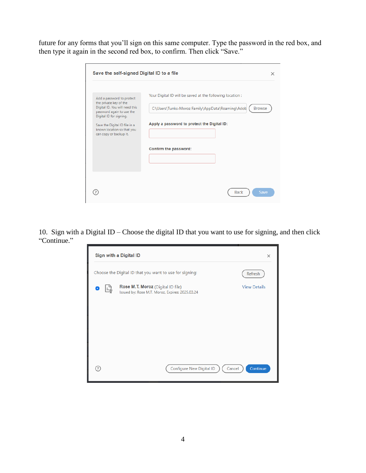future for any forms that you'll sign on this same computer. Type the password in the red box, and then type it again in the second red box, to confirm. Then click "Save."

| Save the self-signed Digital ID to a file                                                                                                                                                                                              | $\times$                                                                                                                                                                                              |
|----------------------------------------------------------------------------------------------------------------------------------------------------------------------------------------------------------------------------------------|-------------------------------------------------------------------------------------------------------------------------------------------------------------------------------------------------------|
| Add a password to protect<br>the private key of the<br>Digital ID. You will need this<br>password again to use the<br>Digital ID for signing.<br>Save the Digital ID file in a<br>known location so that you<br>can copy or backup it. | Your Digital ID will be saved at the following location:<br>C:\Users\Tunks-Moroz Family\AppData\Roaming\Adob<br><b>Browse</b><br>Apply a password to protect the Digital ID:<br>Confirm the password: |
|                                                                                                                                                                                                                                        | Save<br>Back                                                                                                                                                                                          |

10. Sign with a Digital ID – Choose the digital ID that you want to use for signing, and then click "Continue."